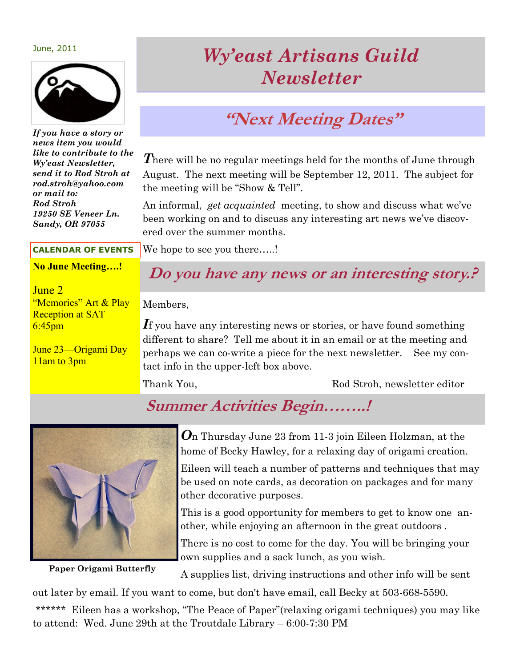June, 2011



*If you have a story or news item you would like to contribute to the Wy'east Newsletter, send it to Rod Stroh at rod.stroh@yahoo.com or mail to: Rod Stroh 19250 SE Veneer Ln. Sandy, OR 97055*

# *Wy'east Artisans Guild Newsletter*

# **"Next Meeting Dates"**

**There will be no regular meetings held for the months of June through** August. The next meeting will be September 12, 2011. The subject for the meeting will be "Show & Tell".

An informal, *get acquainted* meeting, to show and discuss what we've been working on and to discuss any interesting art news we've discovered over the summer months.

We hope to see you there.....! **CALENDAR OF EVENTS**

### **No June Meeting….!**

### June 2

"Memories" Art & Play Reception at SAT 6:45pm

June 23—Origami Day 11am to 3pm

### **Do you have any news or an interesting story.?**

Members,

If you have any interesting news or stories, or have found something different to share? Tell me about it in an email or at the meeting and perhaps we can co-write a piece for the next newsletter. See my contact info in the upper-left box above.

Thank You, Thank You, Rod Stroh, newsletter editor

## **Summer Activities Begin……..!**



*O*n Thursday June 23 from 11-3 join Eileen Holzman, at the home of Becky Hawley, for a relaxing day of origami creation.

Eileen will teach a number of patterns and techniques that may be used on note cards, as decoration on packages and for many other decorative purposes.

This is a good opportunity for members to get to know one another, while enjoying an afternoon in the great outdoors .

There is no cost to come for the day. You will be bringing your own supplies and a sack lunch, as you wish.

Paper Origami Butterfly A supplies list, driving instructions and other info will be sent

out later by email. If you want to come, but don't have email, call Becky at 503-668-5590.

\*\*\*\*\*\* Eileen has a workshop, "The Peace of Paper"(relaxing origami techniques) you may like to attend: Wed. June 29th at the Troutdale Library – 6:00-7:30 PM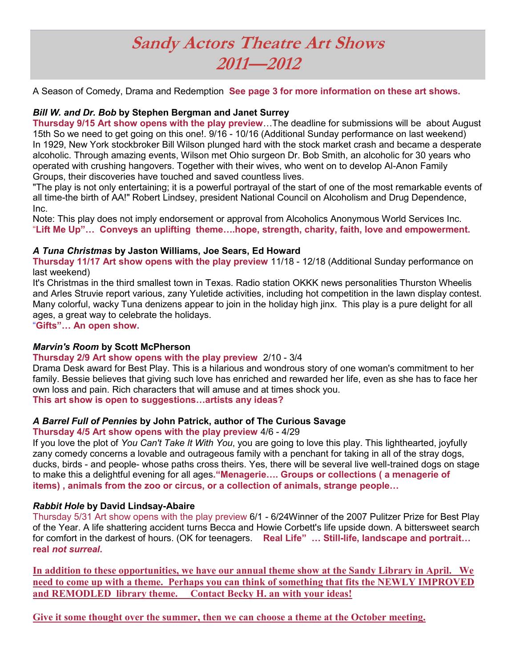# **Sandy Actors Theatre Art Shows 2011—2012**

A Season of Comedy, Drama and Redemption **See page 3 for more information on these art shows.**

#### *Bill W. and Dr. Bob* **by Stephen Bergman and Janet Surrey**

**Thursday 9/15 Art show opens with the play preview**…The deadline for submissions will be about August 15th So we need to get going on this one!. 9/16 - 10/16 (Additional Sunday performance on last weekend) In 1929, New York stockbroker Bill Wilson plunged hard with the stock market crash and became a desperate alcoholic. Through amazing events, Wilson met Ohio surgeon Dr. Bob Smith, an alcoholic for 30 years who operated with crushing hangovers. Together with their wives, who went on to develop Al-Anon Family Groups, their discoveries have touched and saved countless lives.

"The play is not only entertaining; it is a powerful portrayal of the start of one of the most remarkable events of all time-the birth of AA!" Robert Lindsey, president National Council on Alcoholism and Drug Dependence, Inc.

Note: This play does not imply endorsement or approval from Alcoholics Anonymous World Services Inc. "**Lift Me Up"… Conveys an uplifting theme….hope, strength, charity, faith, love and empowerment.** 

#### *A Tuna Christmas* **by Jaston Williams, Joe Sears, Ed Howard**

**Thursday 11/17 Art show opens with the play preview** 11/18 - 12/18 (Additional Sunday performance on last weekend)

It's Christmas in the third smallest town in Texas. Radio station OKKK news personalities Thurston Wheelis and Arles Struvie report various, zany Yuletide activities, including hot competition in the lawn display contest. Many colorful, wacky Tuna denizens appear to join in the holiday high jinx. This play is a pure delight for all ages, a great way to celebrate the holidays.

"**Gifts"… An open show.** 

#### *Marvin's Room* **by Scott McPherson**

#### **Thursday 2/9 Art show opens with the play preview** 2/10 - 3/4

Drama Desk award for Best Play. This is a hilarious and wondrous story of one woman's commitment to her family. Bessie believes that giving such love has enriched and rewarded her life, even as she has to face her own loss and pain. Rich characters that will amuse and at times shock you.

**This art show is open to suggestions…artists any ideas?**

#### *A Barrel Full of Pennies* **by John Patrick, author of The Curious Savage**

#### **Thursday 4/5 Art show opens with the play preview** 4/6 - 4/29

If you love the plot of *You Can't Take It With You*, you are going to love this play. This lighthearted, joyfully zany comedy concerns a lovable and outrageous family with a penchant for taking in all of the stray dogs, ducks, birds - and people- whose paths cross theirs. Yes, there will be several live well-trained dogs on stage to make this a delightful evening for all ages**."Menagerie…. Groups or collections ( a menagerie of items) , animals from the zoo or circus, or a collection of animals, strange people…**

#### *Rabbit Hole* **by David Lindsay-Abaire**

Thursday 5/31 Art show opens with the play preview 6/1 - 6/24Winner of the 2007 Pulitzer Prize for Best Play of the Year. A life shattering accident turns Becca and Howie Corbett's life upside down. A bittersweet search for comfort in the darkest of hours. (OK for teenagers. **Real Life" … Still-life, landscape and portrait… real** *not surreal***.**

**In addition to these opportunities, we have our annual theme show at the Sandy Library in April. We need to come up with a theme. Perhaps you can think of something that fits the NEWLY IMPROVED and REMODLED library theme. Contact Becky H. an with your ideas!**

**Give it some thought over the summer, then we can choose a theme at the October meeting.**